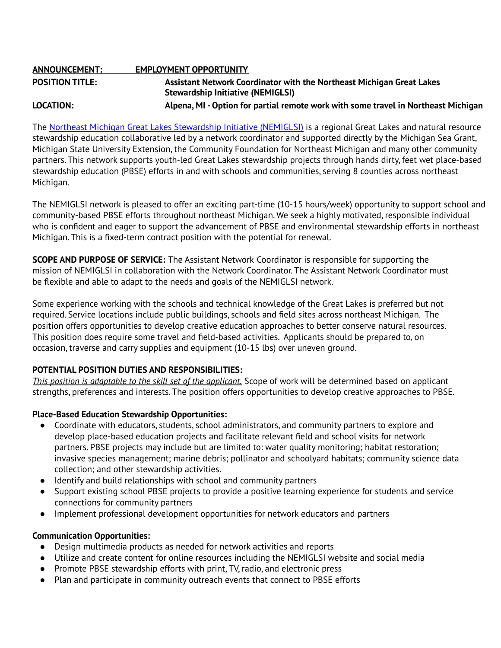| <b>ANNOUNCEMENT:</b>   | <b>EMPLOYMENT OPPORTUNITY</b>                                                      |
|------------------------|------------------------------------------------------------------------------------|
| <b>POSITION TITLE:</b> | Assistant Network Coordinator with the Northeast Michigan Great Lakes              |
|                        | <b>Stewardship Initiative (NEMIGLSI)</b>                                           |
| LOCATION:              | Alpena, MI - Option for partial remote work with some travel in Northeast Michigan |

The Northeast Michigan Great Lakes [Stewardship](http://www.nemiglsi.org) Initiative (NEMIGLSI) is a regional Great Lakes and natural resource stewardship education collaborative led by a network coordinator and supported directly by the Michigan Sea Grant, Michigan State University Extension, the Community Foundation for Northeast Michigan and many other community partners. This network supports youth-led Great Lakes stewardship projects through hands dirty, feet wet place-based stewardship education (PBSE) efforts in and with schools and communities, serving 8 counties across northeast Michigan.

The NEMIGLSI network is pleased to offer an exciting part-time (10-15 hours/week) opportunity to support school and community-based PBSE efforts throughout northeast Michigan. We seek a highly motivated, responsible individual who is confident and eager to support the advancement of PBSE and environmental stewardship efforts in northeast Michigan. This is a fixed-term contract position with the potential for renewal.

**SCOPE AND PURPOSE OF SERVICE:** The Assistant Network Coordinator is responsible for supporting the mission of NEMIGLSI in collaboration with the Network Coordinator. The Assistant Network Coordinator must be flexible and able to adapt to the needs and goals of the NEMIGLSI network.

Some experience working with the schools and technical knowledge of the Great Lakes is preferred but not required. Service locations include public buildings, schools and field sites across northeast Michigan. The position offers opportunities to develop creative education approaches to better conserve natural resources. This position does require some travel and field-based activities. Applicants should be prepared to, on occasion, traverse and carry supplies and equipment (10-15 lbs) over uneven ground.

# **POTENTIAL POSITION DUTIES AND RESPONSIBILITIES:**

*This position is adaptable to the skill set of the applicant.* Scope of work will be determined based on applicant strengths, preferences and interests. The position offers opportunities to develop creative approaches to PBSE.

# **Place-Based Education Stewardship Opportunities:**

- Coordinate with educators, students, school administrators, and community partners to explore and develop place-based education projects and facilitate relevant field and school visits for network partners. PBSE projects may include but are limited to: water quality monitoring; habitat restoration; invasive species management; marine debris; pollinator and schoolyard habitats; community science data collection; and other stewardship activities.
- Identify and build relationships with school and community partners
- Support existing school PBSE projects to provide a positive learning experience for students and service connections for community partners
- Implement professional development opportunities for network educators and partners

# **Communication Opportunities:**

- **●** Design multimedia products as needed for network activities and reports
- **●** Utilize and create content for online resources including the NEMIGLSI website and social media
- **●** Promote PBSE stewardship efforts with print, TV, radio, and electronic press
- **●** Plan and participate in community outreach events that connect to PBSE efforts